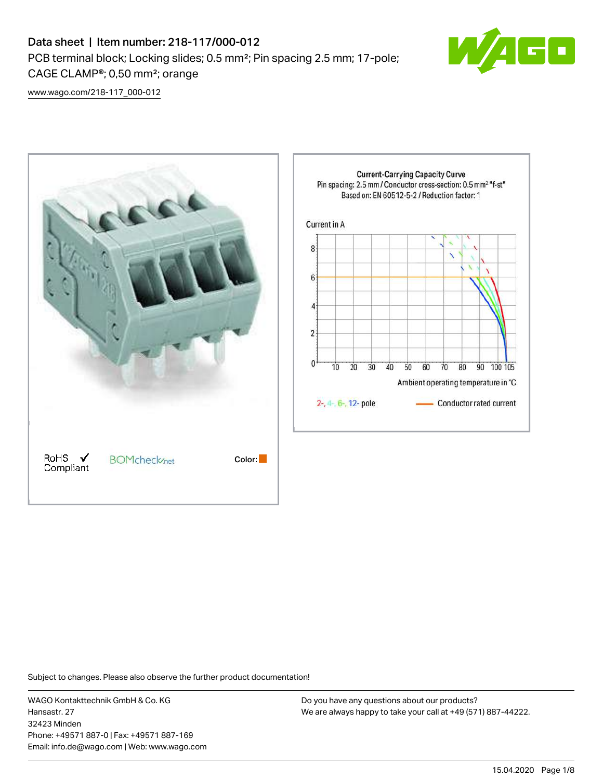# Data sheet | Item number: 218-117/000-012 PCB terminal block; Locking slides; 0.5 mm²; Pin spacing 2.5 mm; 17-pole; CAGE CLAMP®; 0,50 mm²; orange



[www.wago.com/218-117\\_000-012](http://www.wago.com/218-117_000-012)



Subject to changes. Please also observe the further product documentation!

WAGO Kontakttechnik GmbH & Co. KG Hansastr. 27 32423 Minden Phone: +49571 887-0 | Fax: +49571 887-169 Email: info.de@wago.com | Web: www.wago.com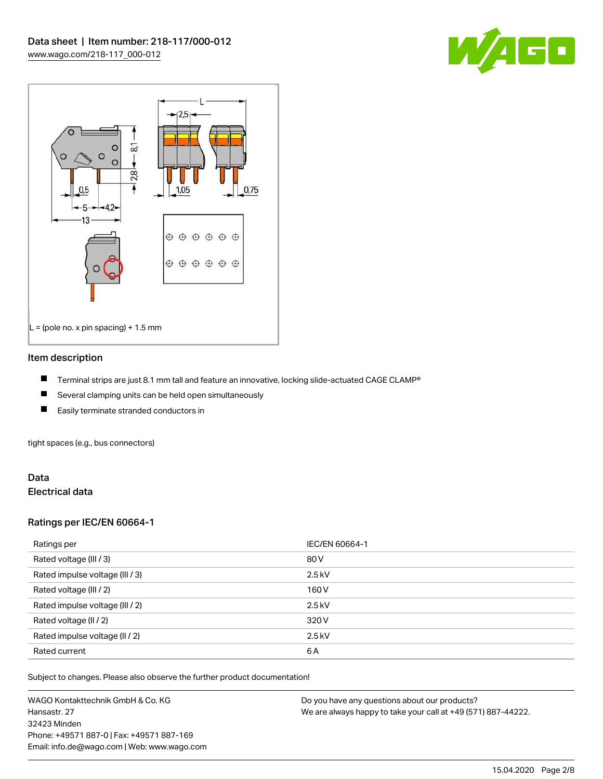



#### Item description

- П Terminal strips are just 8.1 mm tall and feature an innovative, locking slide-actuated CAGE CLAMP®
- $\blacksquare$ Several clamping units can be held open simultaneously
- П Easily terminate stranded conductors in

tight spaces (e.g., bus connectors)

## Data Electrical data

## Ratings per IEC/EN 60664-1

| Ratings per                     | IEC/EN 60664-1 |
|---------------------------------|----------------|
| Rated voltage (III / 3)         | 80 V           |
| Rated impulse voltage (III / 3) | $2.5$ kV       |
| Rated voltage (III / 2)         | 160 V          |
| Rated impulse voltage (III / 2) | $2.5$ kV       |
| Rated voltage (II / 2)          | 320 V          |
| Rated impulse voltage (II / 2)  | $2.5$ kV       |
| Rated current                   | 6A             |

Subject to changes. Please also observe the further product documentation!

WAGO Kontakttechnik GmbH & Co. KG Hansastr. 27 32423 Minden Phone: +49571 887-0 | Fax: +49571 887-169 Email: info.de@wago.com | Web: www.wago.com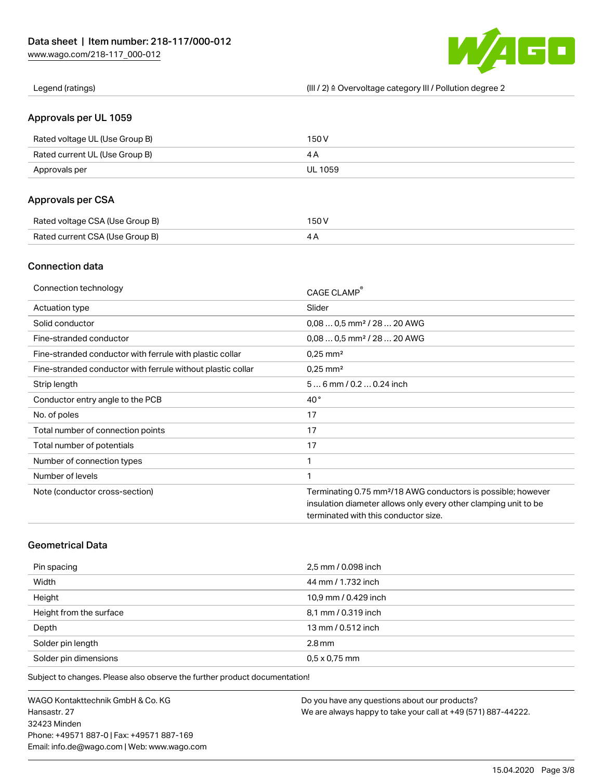

Legend (ratings) (III / 2) ≙ Overvoltage category III / Pollution degree 2

## Approvals per UL 1059

| Rated voltage UL (Use Group B) | 150 V          |
|--------------------------------|----------------|
| Rated current UL (Use Group B) |                |
| Approvals per                  | <b>UL 1059</b> |

# Approvals per CSA

| Rated voltage CSA (Use Group B) | 150 V |
|---------------------------------|-------|
| Rated current CSA (Use Group B) |       |

# Connection data

| Connection technology                                       | CAGE CLAMP®                                                              |
|-------------------------------------------------------------|--------------------------------------------------------------------------|
| <b>Actuation type</b>                                       | Slider                                                                   |
| Solid conductor                                             | $0.080.5$ mm <sup>2</sup> / 28  20 AWG                                   |
| Fine-stranded conductor                                     | $0.080.5$ mm <sup>2</sup> / 28  20 AWG                                   |
| Fine-stranded conductor with ferrule with plastic collar    | $0.25$ mm <sup>2</sup>                                                   |
| Fine-stranded conductor with ferrule without plastic collar | $0.25$ mm <sup>2</sup>                                                   |
| Strip length                                                | $56$ mm $/ 0.20.24$ inch                                                 |
| Conductor entry angle to the PCB                            | $40^{\circ}$                                                             |
| No. of poles                                                | 17                                                                       |
| Total number of connection points                           | 17                                                                       |
| Total number of potentials                                  | 17                                                                       |
| Number of connection types                                  | 1                                                                        |
| Number of levels                                            | 1                                                                        |
| Note (conductor cross-section)                              | Terminating 0.75 mm <sup>2</sup> /18 AWG conductors is possible; however |
|                                                             | insulation diameter allows only every other clamping unit to be          |
|                                                             | terminated with this conductor size.                                     |

# Geometrical Data

| Pin spacing             | 2,5 mm / 0.098 inch  |
|-------------------------|----------------------|
| Width                   | 44 mm / 1.732 inch   |
| Height                  | 10,9 mm / 0.429 inch |
| Height from the surface | 8,1 mm / 0.319 inch  |
| Depth                   | 13 mm / 0.512 inch   |
| Solder pin length       | $2.8$ mm             |
| Solder pin dimensions   | $0.5 \times 0.75$ mm |

Subject to changes. Please also observe the further product documentation!

WAGO Kontakttechnik GmbH & Co. KG Hansastr. 27 32423 Minden Phone: +49571 887-0 | Fax: +49571 887-169 Email: info.de@wago.com | Web: www.wago.com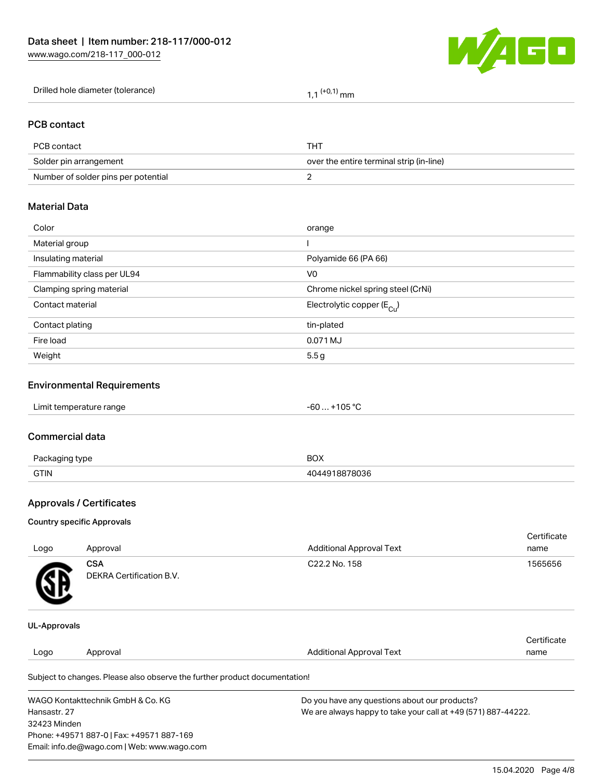

| Drilled hole diameter (tolerance) | $\cdot$<br>' mm |
|-----------------------------------|-----------------|
|-----------------------------------|-----------------|

## PCB contact

| PCB contact                         | THT                                      |
|-------------------------------------|------------------------------------------|
| Solder pin arrangement              | over the entire terminal strip (in-line) |
| Number of solder pins per potential |                                          |

## Material Data

| Color                       | orange                                 |
|-----------------------------|----------------------------------------|
| Material group              |                                        |
| Insulating material         | Polyamide 66 (PA 66)                   |
| Flammability class per UL94 | V <sub>0</sub>                         |
| Clamping spring material    | Chrome nickel spring steel (CrNi)      |
| Contact material            | Electrolytic copper (E <sub>Cu</sub> ) |
| Contact plating             | tin-plated                             |
| Fire load                   | 0.071 MJ                               |
| Weight                      | 5.5g                                   |
|                             |                                        |

# Environmental Requirements

#### Commercial data

| Do.<br>type | BOX   |
|-------------|-------|
| <b>GTIN</b> | ארחת' |

# Approvals / Certificates

#### Country specific Approvals

| Logo | Approval                               | <b>Additional Approval Text</b> | Certificate<br>name |
|------|----------------------------------------|---------------------------------|---------------------|
| Æ    | <b>CSA</b><br>DEKRA Certification B.V. | C22.2 No. 158                   | 1565656             |
|      |                                        |                                 |                     |

#### UL-Approvals

| Approval<br>Logo |                                                                            |                                 |      |
|------------------|----------------------------------------------------------------------------|---------------------------------|------|
|                  |                                                                            | <b>Additional Approval Text</b> | name |
|                  | Subject to changes. Please also observe the further product documentation! |                                 |      |

WAGO Kontakttechnik GmbH & Co. KG Hansastr. 27 32423 Minden Phone: +49571 887-0 | Fax: +49571 887-169 Email: info.de@wago.com | Web: www.wago.com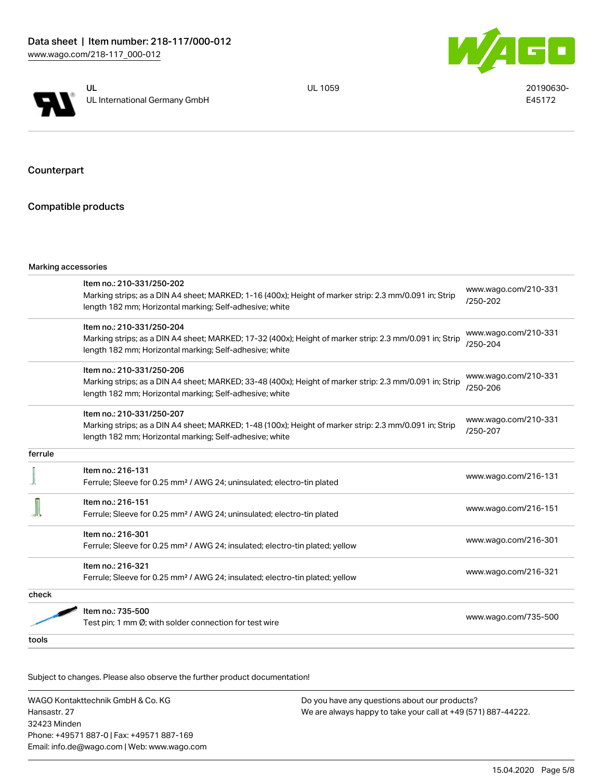



UL 1059 20190630-E45172

Counterpart

# Compatible products

|         | Marking accessories                                                                                                                                                                             |                                      |
|---------|-------------------------------------------------------------------------------------------------------------------------------------------------------------------------------------------------|--------------------------------------|
|         | Item no.: 210-331/250-202<br>Marking strips; as a DIN A4 sheet; MARKED; 1-16 (400x); Height of marker strip: 2.3 mm/0.091 in; Strip<br>length 182 mm; Horizontal marking; Self-adhesive; white  | www.wago.com/210-331<br>/250-202     |
|         | Item no.: 210-331/250-204<br>Marking strips; as a DIN A4 sheet; MARKED; 17-32 (400x); Height of marker strip: 2.3 mm/0.091 in; Strip<br>length 182 mm; Horizontal marking; Self-adhesive; white | www.wago.com/210-331<br>$/250 - 204$ |
|         | Item no.: 210-331/250-206<br>Marking strips; as a DIN A4 sheet; MARKED; 33-48 (400x); Height of marker strip: 2.3 mm/0.091 in; Strip<br>length 182 mm; Horizontal marking; Self-adhesive; white | www.wago.com/210-331<br>/250-206     |
|         | Item no.: 210-331/250-207<br>Marking strips; as a DIN A4 sheet; MARKED; 1-48 (100x); Height of marker strip: 2.3 mm/0.091 in; Strip<br>length 182 mm; Horizontal marking; Self-adhesive; white  | www.wago.com/210-331<br>/250-207     |
| ferrule |                                                                                                                                                                                                 |                                      |
|         | Item no.: 216-131<br>Ferrule; Sleeve for 0.25 mm <sup>2</sup> / AWG 24; uninsulated; electro-tin plated                                                                                         | www.wago.com/216-131                 |
|         | Item no.: 216-151<br>Ferrule; Sleeve for 0.25 mm <sup>2</sup> / AWG 24; uninsulated; electro-tin plated                                                                                         | www.wago.com/216-151                 |
|         | Item no.: 216-301<br>Ferrule; Sleeve for 0.25 mm <sup>2</sup> / AWG 24; insulated; electro-tin plated; yellow                                                                                   | www.wago.com/216-301                 |
|         | Item no.: 216-321<br>Ferrule; Sleeve for 0.25 mm <sup>2</sup> / AWG 24; insulated; electro-tin plated; yellow                                                                                   | www.wago.com/216-321                 |
| check   |                                                                                                                                                                                                 |                                      |
|         | Item no.: 735-500<br>Test pin; 1 mm Ø; with solder connection for test wire                                                                                                                     | www.wago.com/735-500                 |
| tools   |                                                                                                                                                                                                 |                                      |

Subject to changes. Please also observe the further product documentation!

WAGO Kontakttechnik GmbH & Co. KG Hansastr. 27 32423 Minden Phone: +49571 887-0 | Fax: +49571 887-169 Email: info.de@wago.com | Web: www.wago.com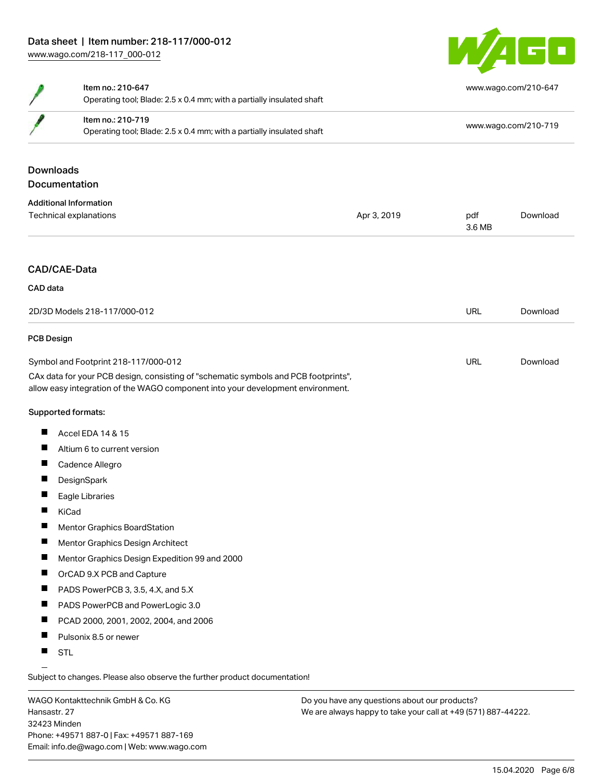

|                                                                                                                                                                        | Item no.: 210-647<br>Operating tool; Blade: 2.5 x 0.4 mm; with a partially insulated shaft |             |                      | www.wago.com/210-647 |
|------------------------------------------------------------------------------------------------------------------------------------------------------------------------|--------------------------------------------------------------------------------------------|-------------|----------------------|----------------------|
|                                                                                                                                                                        | Item no.: 210-719<br>Operating tool; Blade: 2.5 x 0.4 mm; with a partially insulated shaft |             | www.wago.com/210-719 |                      |
| <b>Downloads</b>                                                                                                                                                       |                                                                                            |             |                      |                      |
|                                                                                                                                                                        | Documentation                                                                              |             |                      |                      |
|                                                                                                                                                                        | <b>Additional Information</b>                                                              |             |                      |                      |
|                                                                                                                                                                        | Technical explanations                                                                     | Apr 3, 2019 | pdf<br>3.6 MB        | Download             |
|                                                                                                                                                                        | CAD/CAE-Data                                                                               |             |                      |                      |
| CAD data                                                                                                                                                               |                                                                                            |             |                      |                      |
|                                                                                                                                                                        |                                                                                            |             |                      |                      |
|                                                                                                                                                                        | 2D/3D Models 218-117/000-012                                                               |             | <b>URL</b>           | Download             |
| <b>PCB Design</b>                                                                                                                                                      |                                                                                            |             |                      |                      |
| Symbol and Footprint 218-117/000-012                                                                                                                                   |                                                                                            | <b>URL</b>  | Download             |                      |
| CAx data for your PCB design, consisting of "schematic symbols and PCB footprints",<br>allow easy integration of the WAGO component into your development environment. |                                                                                            |             |                      |                      |
|                                                                                                                                                                        | Supported formats:                                                                         |             |                      |                      |
| П                                                                                                                                                                      | Accel EDA 14 & 15                                                                          |             |                      |                      |
| ш                                                                                                                                                                      | Altium 6 to current version                                                                |             |                      |                      |
| ш                                                                                                                                                                      | Cadence Allegro                                                                            |             |                      |                      |
| ш                                                                                                                                                                      | DesignSpark                                                                                |             |                      |                      |
| Ш                                                                                                                                                                      | Eagle Libraries                                                                            |             |                      |                      |
| Ш                                                                                                                                                                      | KiCad                                                                                      |             |                      |                      |
| П                                                                                                                                                                      | <b>Mentor Graphics BoardStation</b>                                                        |             |                      |                      |
| П                                                                                                                                                                      | Mentor Graphics Design Architect                                                           |             |                      |                      |
| Ш                                                                                                                                                                      | Mentor Graphics Design Expedition 99 and 2000                                              |             |                      |                      |
| П                                                                                                                                                                      | OrCAD 9.X PCB and Capture                                                                  |             |                      |                      |
| ш                                                                                                                                                                      | PADS PowerPCB 3, 3.5, 4.X, and 5.X                                                         |             |                      |                      |
| ш                                                                                                                                                                      | PADS PowerPCB and PowerLogic 3.0                                                           |             |                      |                      |
| Ш                                                                                                                                                                      | PCAD 2000, 2001, 2002, 2004, and 2006                                                      |             |                      |                      |
| ш                                                                                                                                                                      | Pulsonix 8.5 or newer                                                                      |             |                      |                      |

**STL** 

Subject to changes. Please also observe the further product documentation!

WAGO Kontakttechnik GmbH & Co. KG Hansastr. 27 32423 Minden Phone: +49571 887-0 | Fax: +49571 887-169 Email: info.de@wago.com | Web: www.wago.com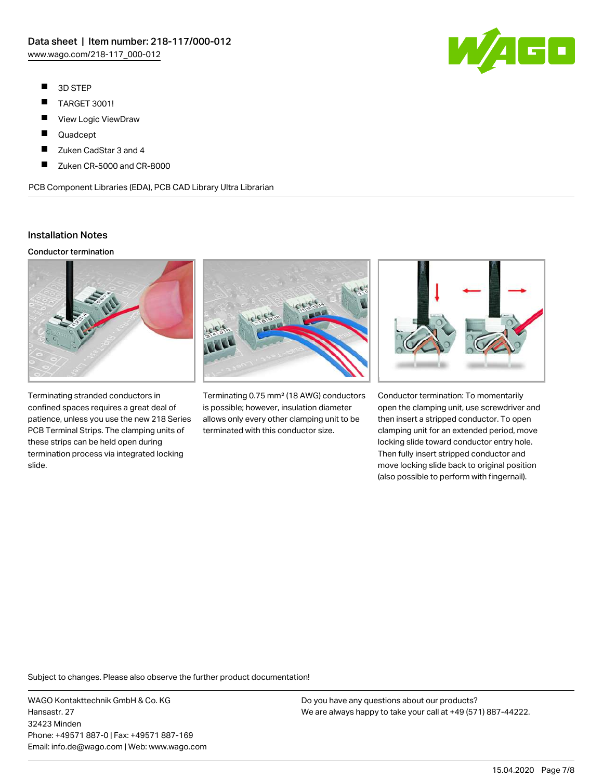- $\blacksquare$ 3D STEP
- $\blacksquare$ TARGET 3001!
- $\blacksquare$ View Logic ViewDraw
- $\blacksquare$ Quadcept
- П Zuken CadStar 3 and 4
- П Zuken CR-5000 and CR-8000

PCB Component Libraries (EDA), PCB CAD Library Ultra Librarian

# Installation Notes

#### Conductor termination



Terminating stranded conductors in confined spaces requires a great deal of patience, unless you use the new 218 Series PCB Terminal Strips. The clamping units of these strips can be held open during termination process via integrated locking slide.



Terminating 0.75 mm² (18 AWG) conductors is possible; however, insulation diameter allows only every other clamping unit to be terminated with this conductor size.



Conductor termination: To momentarily open the clamping unit, use screwdriver and then insert a stripped conductor. To open clamping unit for an extended period, move locking slide toward conductor entry hole. Then fully insert stripped conductor and move locking slide back to original position (also possible to perform with fingernail).

Subject to changes. Please also observe the further product documentation!

WAGO Kontakttechnik GmbH & Co. KG Hansastr. 27 32423 Minden Phone: +49571 887-0 | Fax: +49571 887-169 Email: info.de@wago.com | Web: www.wago.com